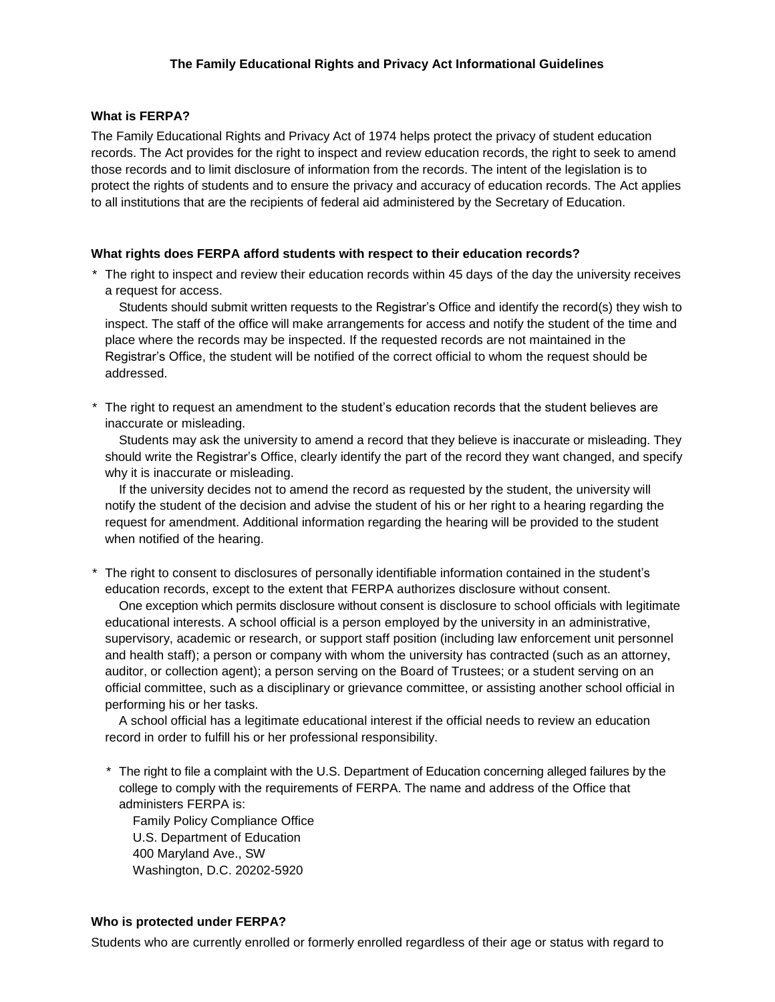## **What is FERPA?**

The Family Educational Rights and Privacy Act of 1974 helps protect the privacy of student education records. The Act provides for the right to inspect and review education records, the right to seek to amend those records and to limit disclosure of information from the records. The intent of the legislation is to protect the rights of students and to ensure the privacy and accuracy of education records. The Act applies to all institutions that are the recipients of federal aid administered by the Secretary of Education.

## **What rights does FERPA afford students with respect to their education records?**

\* The right to inspect and review their education records within 45 days of the day the university receives a request for access.

Students should submit written requests to the Registrar's Office and identify the record(s) they wish to inspect. The staff of the office will make arrangements for access and notify the student of the time and place where the records may be inspected. If the requested records are not maintained in the Registrar's Office, the student will be notified of the correct official to whom the request should be addressed.

\* The right to request an amendment to the student's education records that the student believes are inaccurate or misleading.

Students may ask the university to amend a record that they believe is inaccurate or misleading. They should write the Registrar's Office, clearly identify the part of the record they want changed, and specify why it is inaccurate or misleading.

If the university decides not to amend the record as requested by the student, the university will notify the student of the decision and advise the student of his or her right to a hearing regarding the request for amendment. Additional information regarding the hearing will be provided to the student when notified of the hearing.

\* The right to consent to disclosures of personally identifiable information contained in the student's education records, except to the extent that FERPA authorizes disclosure without consent.

One exception which permits disclosure without consent is disclosure to school officials with legitimate educational interests. A school official is a person employed by the university in an administrative, supervisory, academic or research, or support staff position (including law enforcement unit personnel and health staff); a person or company with whom the university has contracted (such as an attorney, auditor, or collection agent); a person serving on the Board of Trustees; or a student serving on an official committee, such as a disciplinary or grievance committee, or assisting another school official in performing his or her tasks.

A school official has a legitimate educational interest if the official needs to review an education record in order to fulfill his or her professional responsibility.

\* The right to file a complaint with the U.S. Department of Education concerning alleged failures by the college to comply with the requirements of FERPA. The name and address of the Office that administers FERPA is:

Family Policy Compliance Office U.S. Department of Education 400 Maryland Ave., SW Washington, D.C. 20202-5920

# **Who is protected under FERPA?**

Students who are currently enrolled or formerly enrolled regardless of their age or status with regard to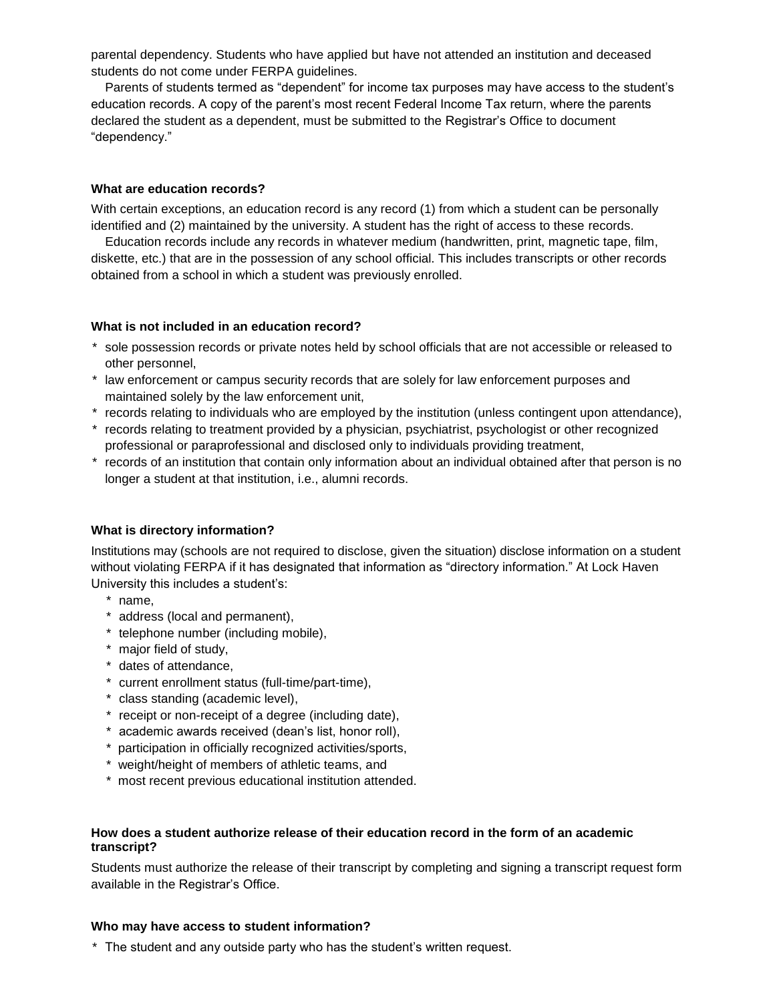parental dependency. Students who have applied but have not attended an institution and deceased students do not come under FERPA guidelines.

Parents of students termed as "dependent" for income tax purposes may have access to the student's education records. A copy of the parent's most recent Federal Income Tax return, where the parents declared the student as a dependent, must be submitted to the Registrar's Office to document "dependency."

#### **What are education records?**

With certain exceptions, an education record is any record (1) from which a student can be personally identified and (2) maintained by the university. A student has the right of access to these records.

Education records include any records in whatever medium (handwritten, print, magnetic tape, film, diskette, etc.) that are in the possession of any school official. This includes transcripts or other records obtained from a school in which a student was previously enrolled.

#### **What is not included in an education record?**

- \* sole possession records or private notes held by school officials that are not accessible or released to other personnel,
- \* law enforcement or campus security records that are solely for law enforcement purposes and maintained solely by the law enforcement unit,
- \* records relating to individuals who are employed by the institution (unless contingent upon attendance),
- \* records relating to treatment provided by a physician, psychiatrist, psychologist or other recognized professional or paraprofessional and disclosed only to individuals providing treatment,
- \* records of an institution that contain only information about an individual obtained after that person is no longer a student at that institution, i.e., alumni records.

### **What is directory information?**

Institutions may (schools are not required to disclose, given the situation) disclose information on a student without violating FERPA if it has designated that information as "directory information." At Lock Haven University this includes a student's:

- \* name,
- \* address (local and permanent),
- \* telephone number (including mobile),
- \* major field of study,
- \* dates of attendance,
- \* current enrollment status (full-time/part-time),
- \* class standing (academic level),
- \* receipt or non-receipt of a degree (including date),
- \* academic awards received (dean's list, honor roll),
- \* participation in officially recognized activities/sports,
- \* weight/height of members of athletic teams, and
- \* most recent previous educational institution attended.

### **How does a student authorize release of their education record in the form of an academic transcript?**

Students must authorize the release of their transcript by completing and signing a transcript request form available in the Registrar's Office.

#### **Who may have access to student information?**

\* The student and any outside party who has the student's written request.